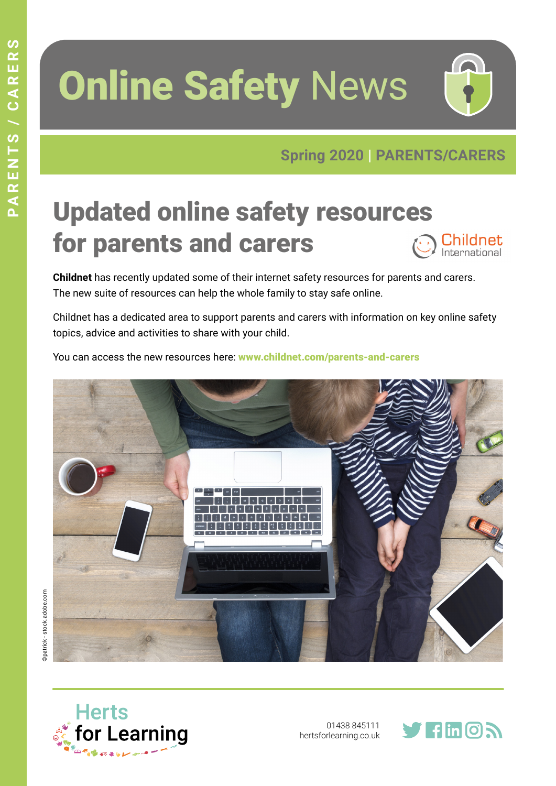# **Online Safety News**



#### Updated online safety resources for parents and carers ) Childnet<br>International

**Childnet** has recently updated some of their internet safety resources for parents and carers. The new suite of resources can help the whole family to stay safe online.

Childnet has a dedicated area to support parents and carers with information on key online safety topics, advice and activities to share with your child.

You can access the new resources here: www.childnet.com/parents-and-carers





01438 845111 [hertsforlearning.co.uk](http://hertsforlearning.co.uk)

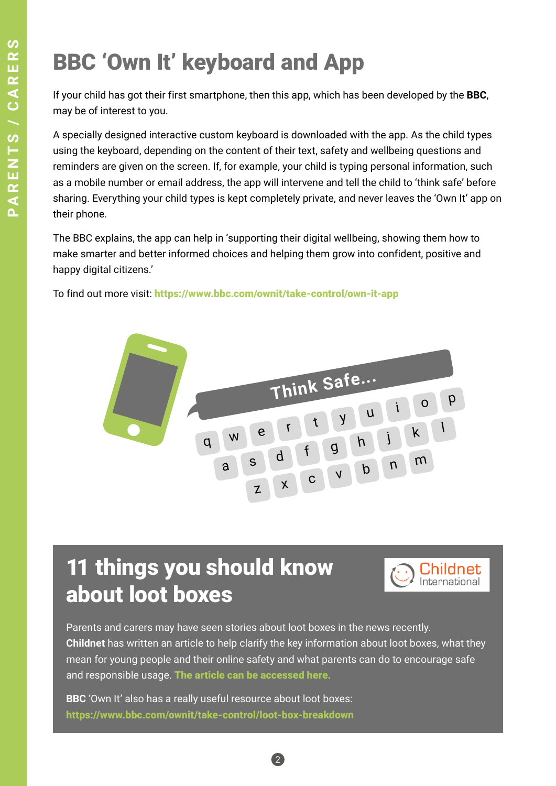# BBC 'Own It' keyboard and App

If your child has got their first smartphone, then this app, which has been developed by the **BBC**, may be of interest to you.

A specially designed interactive custom keyboard is downloaded with the app. As the child types using the keyboard, depending on the content of their text, safety and wellbeing questions and reminders are given on the screen. If, for example, your child is typing personal information, such as a mobile number or email address, the app will intervene and tell the child to 'think safe' before sharing. Everything your child types is kept completely private, and never leaves the 'Own It' app on their phone.

The BBC explains, the app can help in 'supporting their digital wellbeing, showing them how to make smarter and better informed choices and helping them grow into confident, positive and happy digital citizens.'

To find out more visit: https://www.bbc.com/ownit/take-control/own-it-app



#### 11 things you should know about loot boxes



Parents and carers may have seen stories about loot boxes in the news recently. **Childnet** has written an article to help clarify the key information about loot boxes, what they mean for young people and their online safety and what parents can do to encourage safe and responsible usage. [The article can be accessed here.](https://www.childnet.com/blog/11-things-you-should-know-about-loot-boxes-?utm_medium=email&utm_campaign=Childnet%20Newsletter%20-%2023rd%20September%202019&utm_content=Childnet%20Newsletter%20-%20%2023rd%20September%202019+CID_640a99c24defed25f120493bc79b123f&utm_source=Campaign%20Monitor&utm_term=Find%20out%20more)

2

**BBC** 'Own It' also has a really useful resource about loot boxes: https://www.bbc.com/ownit/take-control/loot-box-breakdown